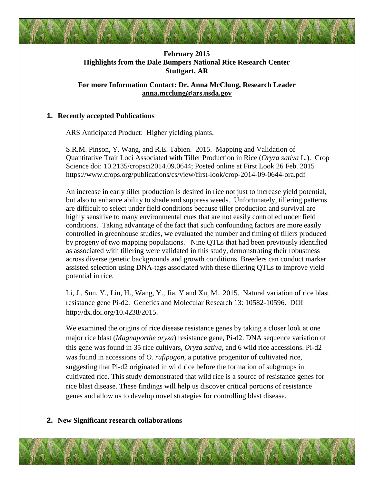

# **February 2015 Highlights from the Dale Bumpers National Rice Research Center Stuttgart, AR**

# **For more Information Contact: Dr. Anna McClung, Research Leader [anna.mcclung@ars.usda.gov](mailto:anna.mcclung@ars.usda.gov)**

# **1. Recently accepted Publications**

**ARS Anticipated Product: Higher yielding plants.** 

S.R.M. Pinson, Y. Wang, and R.E. Tabien. 2015. Mapping and Validation of Quantitative Trait Loci Associated with Tiller Production in Rice (*Oryza sativa* L.). Crop Science doi: 10.2135/cropsci2014.09.0644; Posted online at First Look 26 Feb. 2015 https://www.crops.org/publications/cs/view/first-look/crop-2014-09-0644-ora.pdf

 An increase in early tiller production is desired in rice not just to increase yield potential, but also to enhance ability to shade and suppress weeds. Unfortunately, tillering patterns are difficult to select under field conditions because tiller production and survival are highly sensitive to many environmental cues that are not easily controlled under field conditions. Taking advantage of the fact that such confounding factors are more easily controlled in greenhouse studies, we evaluated the number and timing of tillers produced by progeny of two mapping populations. Nine QTLs that had been previously identified as associated with tillering were validated in this study, demonstrating their robustness across diverse genetic backgrounds and growth conditions. Breeders can conduct marker assisted selection using DNA-tags associated with these tillering QTLs to improve yield potential in rice.

Li, J., Sun, Y., Liu, H., Wang, Y., Jia, Y and Xu, M. 2015. Natural variation of rice blast resistance gene Pi-d2. Genetics and Molecular Research 13: 10582-10596. DOI http://dx.doi.org/10.4238/2015.

We examined the origins of rice disease resistance genes by taking a closer look at one major rice blast (*Magnaporthe oryza*) resistance gene, Pi-d2. DNA sequence variation of this gene was found in 35 rice cultivars, *Oryza sativa*, and 6 wild rice accessions. Pi-d2 was found in accessions of *O. rufipogon*, a putative progenitor of cultivated rice, suggesting that Pi-d2 originated in wild rice before the formation of subgroups in cultivated rice. This study demonstrated that wild rice is a source of resistance genes for rice blast disease. These findings will help us discover critical portions of resistance genes and allow us to develop novel strategies for controlling blast disease.

# **2. New Significant research collaborations**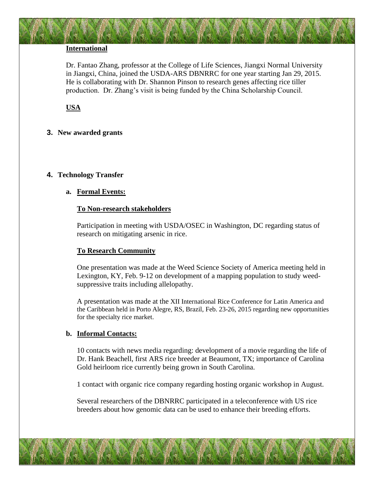## **International**

Dr. Fantao Zhang, professor at the College of Life Sciences, Jiangxi Normal University in Jiangxi, China, joined the USDA-ARS DBNRRC for one year starting Jan 29, 2015. He is collaborating with Dr. Shannon Pinson to research genes affecting rice tiller production. Dr. Zhang's visit is being funded by the China Scholarship Council.

# **USA**

## **3. New awarded grants**

## **4. Technology Transfer**

#### **a. Formal Events:**

#### **To Non-research stakeholders**

Participation in meeting with USDA/OSEC in Washington, DC regarding status of research on mitigating arsenic in rice.

## **To Research Community**

One presentation was made at the Weed Science Society of America meeting held in Lexington, KY, Feb. 9-12 on development of a mapping population to study weedsuppressive traits including allelopathy.

A presentation was made at the XII International Rice Conference for Latin America and the Caribbean held in Porto Alegre, RS, Brazil, Feb. 23-26, 2015 regarding new opportunities for the specialty rice market.

#### **b. Informal Contacts:**

10 contacts with news media regarding: development of a movie regarding the life of Dr. Hank Beachell, first ARS rice breeder at Beaumont, TX; importance of Carolina Gold heirloom rice currently being grown in South Carolina.

1 contact with organic rice company regarding hosting organic workshop in August.

Several researchers of the DBNRRC participated in a teleconference with US rice breeders about how genomic data can be used to enhance their breeding efforts.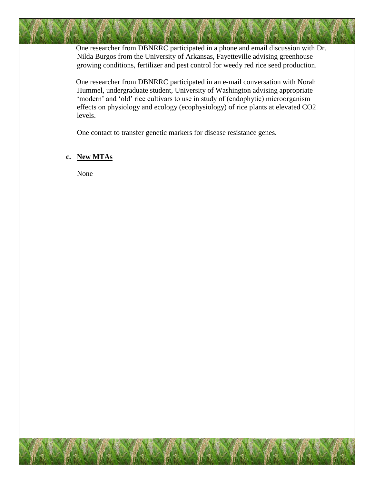One researcher from DBNRRC participated in a phone and email discussion with Dr. Nilda Burgos from the University of Arkansas, Fayetteville advising greenhouse growing conditions, fertilizer and pest control for weedy red rice seed production.

One researcher from DBNRRC participated in an e-mail conversation with Norah Hummel, undergraduate student, University of Washington advising appropriate 'modern' and 'old' rice cultivars to use in study of (endophytic) microorganism effects on physiology and ecology (ecophysiology) of rice plants at elevated CO2 levels.

One contact to transfer genetic markers for disease resistance genes.

## **c. New MTAs**

None